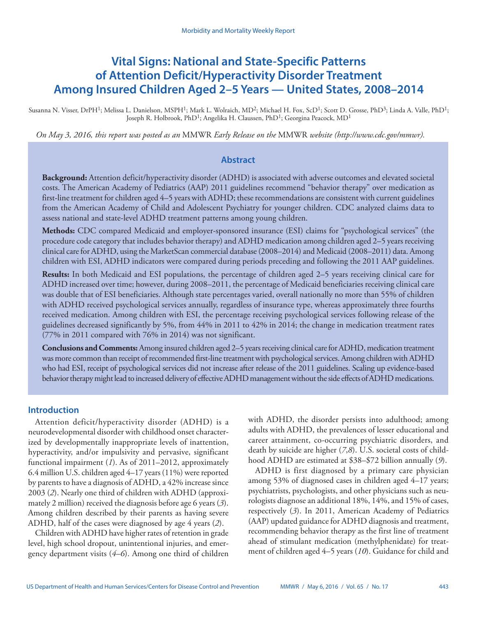# **Vital Signs: National and State-Specific Patterns of Attention Deficit/Hyperactivity Disorder Treatment Among Insured Children Aged 2–5 Years — United States, 2008–2014**

Susanna N. Visser, DrPH<sup>1</sup>; Melissa L. Danielson, MSPH<sup>1</sup>; Mark L. Wolraich, MD<sup>2</sup>; Michael H. Fox, ScD<sup>1</sup>; Scott D. Grosse, PhD<sup>3</sup>; Linda A. Valle, PhD<sup>1</sup>; Joseph R. Holbrook, PhD<sup>1</sup>; Angelika H. Claussen, PhD<sup>1</sup>; Georgina Peacock, MD<sup>1</sup>

*On May 3, 2016, this report was posted as an* MMWR *Early Release on the* MMWR *website (<http://www.cdc.gov/mmwr>).*

### **Abstract**

**Background:** Attention deficit/hyperactivity disorder (ADHD) is associated with adverse outcomes and elevated societal costs. The American Academy of Pediatrics (AAP) 2011 guidelines recommend "behavior therapy" over medication as first-line treatment for children aged 4–5 years with ADHD; these recommendations are consistent with current guidelines from the American Academy of Child and Adolescent Psychiatry for younger children. CDC analyzed claims data to assess national and state-level ADHD treatment patterns among young children.

**Methods:** CDC compared Medicaid and employer-sponsored insurance (ESI) claims for "psychological services" (the procedure code category that includes behavior therapy) and ADHD medication among children aged 2–5 years receiving clinical care for ADHD, using the MarketScan commercial database (2008–2014) and Medicaid (2008–2011) data. Among children with ESI, ADHD indicators were compared during periods preceding and following the 2011 AAP guidelines.

**Results:** In both Medicaid and ESI populations, the percentage of children aged 2–5 years receiving clinical care for ADHD increased over time; however, during 2008–2011, the percentage of Medicaid beneficiaries receiving clinical care was double that of ESI beneficiaries. Although state percentages varied, overall nationally no more than 55% of children with ADHD received psychological services annually, regardless of insurance type, whereas approximately three fourths received medication. Among children with ESI, the percentage receiving psychological services following release of the guidelines decreased significantly by 5%, from 44% in 2011 to 42% in 2014; the change in medication treatment rates (77% in 2011 compared with 76% in 2014) was not significant.

**Conclusions and Comments:** Among insured children aged 2–5 years receiving clinical care for ADHD, medication treatment was more common than receipt of recommended first-line treatment with psychological services. Among children with ADHD who had ESI, receipt of psychological services did not increase after release of the 2011 guidelines. Scaling up evidence-based behavior therapy might lead to increased delivery of effective ADHD management without the side effects of ADHD medications.

### **Introduction**

Attention deficit/hyperactivity disorder (ADHD) is a neurodevelopmental disorder with childhood onset characterized by developmentally inappropriate levels of inattention, hyperactivity, and/or impulsivity and pervasive, significant functional impairment (*1*). As of 2011–2012, approximately 6.4 million U.S. children aged 4–17 years (11%) were reported by parents to have a diagnosis of ADHD, a 42% increase since 2003 (*2*). Nearly one third of children with ADHD (approximately 2 million) received the diagnosis before age 6 years (*3*). Among children described by their parents as having severe ADHD, half of the cases were diagnosed by age 4 years (*2*).

Children with ADHD have higher rates of retention in grade level, high school dropout, unintentional injuries, and emergency department visits (*4*–*6*). Among one third of children with ADHD, the disorder persists into adulthood; among adults with ADHD, the prevalences of lesser educational and career attainment, co-occurring psychiatric disorders, and death by suicide are higher (*7*,*8*). U.S. societal costs of childhood ADHD are estimated at \$38–\$72 billion annually (*9*).

ADHD is first diagnosed by a primary care physician among 53% of diagnosed cases in children aged 4–17 years; psychiatrists, psychologists, and other physicians such as neurologists diagnose an additional 18%, 14%, and 15% of cases, respectively (*3*). In 2011, American Academy of Pediatrics (AAP) updated guidance for ADHD diagnosis and treatment, recommending behavior therapy as the first line of treatment ahead of stimulant medication (methylphenidate) for treatment of children aged 4–5 years (*10*). Guidance for child and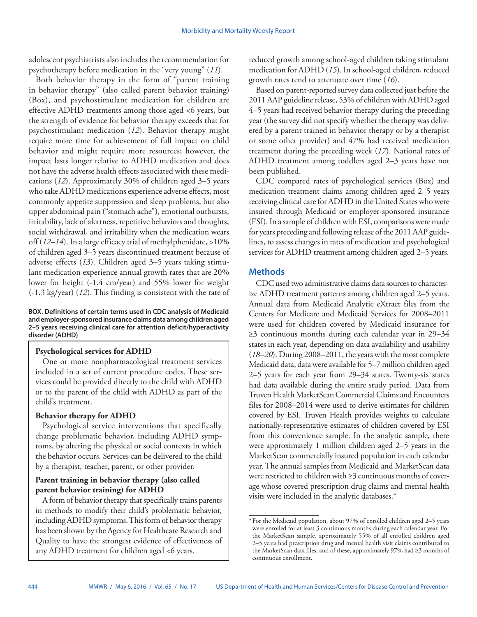adolescent psychiatrists also includes the recommendation for psychotherapy before medication in the "very young" (*11*).

Both behavior therapy in the form of "parent training in behavior therapy" (also called parent behavior training) (Box), and psychostimulant medication for children are effective ADHD treatments among those aged <6 years, but the strength of evidence for behavior therapy exceeds that for psychostimulant medication (*12*). Behavior therapy might require more time for achievement of full impact on child behavior and might require more resources; however, the impact lasts longer relative to ADHD medication and does not have the adverse health effects associated with these medications (*12*). Approximately 30% of children aged 3–5 years who take ADHD medications experience adverse effects, most commonly appetite suppression and sleep problems, but also upper abdominal pain ("stomach ache"), emotional outbursts, irritability, lack of alertness, repetitive behaviors and thoughts, social withdrawal, and irritability when the medication wears off (*12*–*14*). In a large efficacy trial of methylphenidate, >10% of children aged 3–5 years discontinued treatment because of adverse effects (*13*). Children aged 3–5 years taking stimulant medication experience annual growth rates that are 20% lower for height (-1.4 cm/year) and 55% lower for weight (-1.3 kg/year) (*12*). This finding is consistent with the rate of

#### **BOX. Definitions of certain terms used in CDC analysis of Medicaid and employer-sponsored insurance claims data among children aged 2–5 years receiving clinical care for attention deficit/hyperactivity disorder (ADHD)**

# **Psychological services for ADHD**

One or more nonpharmacological treatment services included in a set of current procedure codes. These services could be provided directly to the child with ADHD or to the parent of the child with ADHD as part of the child's treatment.

### **Behavior therapy for ADHD**

Psychological service interventions that specifically change problematic behavior, including ADHD symptoms, by altering the physical or social contexts in which the behavior occurs. Services can be delivered to the child by a therapist, teacher, parent, or other provider.

### **Parent training in behavior therapy (also called parent behavior training) for ADHD**

A form of behavior therapy that specifically trains parents in methods to modify their child's problematic behavior, including ADHD symptoms. This form of behavior therapy has been shown by the Agency for Healthcare Research and Quality to have the strongest evidence of effectiveness of any ADHD treatment for children aged <6 years.

reduced growth among school-aged children taking stimulant medication for ADHD (*15*). In school-aged children, reduced growth rates tend to attenuate over time (*16*).

Based on parent-reported survey data collected just before the 2011 AAP guideline release, 53% of children with ADHD aged 4–5 years had received behavior therapy during the preceding year (the survey did not specify whether the therapy was delivered by a parent trained in behavior therapy or by a therapist or some other provider) and 47% had received medication treatment during the preceding week (*17*). National rates of ADHD treatment among toddlers aged 2–3 years have not been published.

CDC compared rates of psychological services (Box) and medication treatment claims among children aged 2–5 years receiving clinical care for ADHD in the United States who were insured through Medicaid or employer-sponsored insurance (ESI). In a sample of children with ESI, comparisons were made for years preceding and following release of the 2011 AAP guidelines, to assess changes in rates of medication and psychological services for ADHD treatment among children aged 2–5 years.

# **Methods**

CDC used two administrative claims data sources to characterize ADHD treatment patterns among children aged 2–5 years. Annual data from Medicaid Analytic eXtract files from the Centers for Medicare and Medicaid Services for 2008–2011 were used for children covered by Medicaid insurance for ≥3 continuous months during each calendar year in 29–34 states in each year, depending on data availability and usability (*18*–*20*). During 2008–2011, the years with the most complete Medicaid data, data were available for 5–7 million children aged 2–5 years for each year from 29–34 states. Twenty-six states had data available during the entire study period. Data from Truven Health MarketScan Commercial Claims and Encounters files for 2008–2014 were used to derive estimates for children covered by ESI. Truven Health provides weights to calculate nationally-representative estimates of children covered by ESI from this convenience sample. In the analytic sample, there were approximately 1 million children aged 2–5 years in the MarketScan commercially insured population in each calendar year. The annual samples from Medicaid and MarketScan data were restricted to children with ≥3 continuous months of coverage whose covered prescription drug claims and mental health visits were included in the analytic databases.\*

<sup>\*</sup> For the Medicaid population, about 97% of enrolled children aged 2–5 years were enrolled for at least 3 continuous months during each calendar year. For the MarketScan sample, approximately 55% of all enrolled children aged 2–5 years had prescription drug and mental health visit claims contributed to the MarketScan data files, and of these, approximately 97% had ≥3 months of continuous enrollment.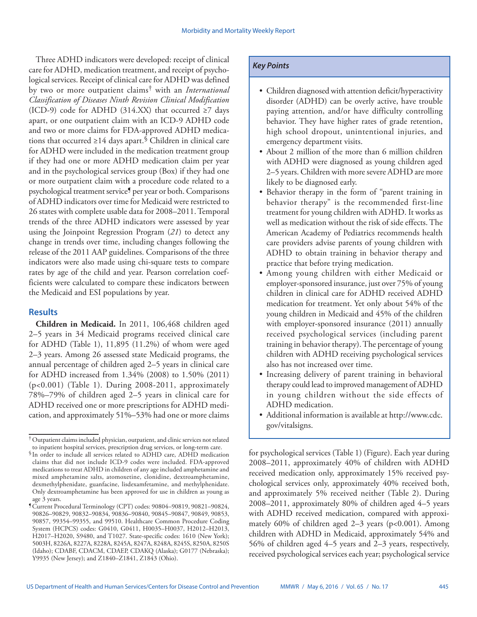Three ADHD indicators were developed: receipt of clinical care for ADHD, medication treatment, and receipt of psychological services. Receipt of clinical care for ADHD was defined by two or more outpatient claims† with an *International Classification of Diseases Ninth Revision Clinical Modification* (ICD-9) code for ADHD (314.XX) that occurred  $\geq$ 7 days apart, or one outpatient claim with an ICD-9 ADHD code and two or more claims for FDA-approved ADHD medications that occurred  $\geq 14$  days apart.<sup>§</sup> Children in clinical care for ADHD were included in the medication treatment group if they had one or more ADHD medication claim per year and in the psychological services group (Box) if they had one or more outpatient claim with a procedure code related to a psychological treatment service¶ per year or both. Comparisons of ADHD indicators over time for Medicaid were restricted to 26 states with complete usable data for 2008–2011. Temporal trends of the three ADHD indicators were assessed by year using the Joinpoint Regression Program (*21*) to detect any change in trends over time, including changes following the release of the 2011 AAP guidelines. Comparisons of the three indicators were also made using chi-square tests to compare rates by age of the child and year. Pearson correlation coefficients were calculated to compare these indicators between the Medicaid and ESI populations by year.

# **Results**

**Children in Medicaid.** In 2011, 106,468 children aged 2–5 years in 34 Medicaid programs received clinical care for ADHD (Table 1), 11,895 (11.2%) of whom were aged 2–3 years. Among 26 assessed state Medicaid programs, the annual percentage of children aged 2–5 years in clinical care for ADHD increased from 1.34% (2008) to 1.50% (2011) (p<0.001) (Table 1). During 2008-2011, approximately 78%–79% of children aged 2–5 years in clinical care for ADHD received one or more prescriptions for ADHD medication, and approximately 51%–53% had one or more claims

# *Key Points*

- Children diagnosed with attention deficit/hyperactivity disorder (ADHD) can be overly active, have trouble paying attention, and/or have difficulty controlling behavior. They have higher rates of grade retention, high school dropout, unintentional injuries, and emergency department visits.
- About 2 million of the more than 6 million children with ADHD were diagnosed as young children aged 2–5 years. Children with more severe ADHD are more likely to be diagnosed early.
- Behavior therapy in the form of "parent training in behavior therapy" is the recommended first-line treatment for young children with ADHD. It works as well as medication without the risk of side effects. The American Academy of Pediatrics recommends health care providers advise parents of young children with ADHD to obtain training in behavior therapy and practice that before trying medication.
- Among young children with either Medicaid or employer-sponsored insurance, just over 75% of young children in clinical care for ADHD received ADHD medication for treatment. Yet only about 54% of the young children in Medicaid and 45% of the children with employer-sponsored insurance (2011) annually received psychological services (including parent training in behavior therapy). The percentage of young children with ADHD receiving psychological services also has not increased over time.
- Increasing delivery of parent training in behavioral therapy could lead to improved management of ADHD in young children without the side effects of ADHD medication.
- Additional information is available at [http://www.cdc.](http://www.cdc.gov/vitalsigns) [gov/vitalsigns](http://www.cdc.gov/vitalsigns).

for psychological services (Table 1) (Figure). Each year during 2008–2011, approximately 40% of children with ADHD received medication only, approximately 15% received psychological services only, approximately 40% received both, and approximately 5% received neither (Table 2). During 2008–2011, approximately 80% of children aged 4–5 years with ADHD received medication, compared with approximately 60% of children aged 2–3 years ( $p<0.001$ ). Among children with ADHD in Medicaid, approximately 54% and 56% of children aged 4–5 years and 2–3 years, respectively, received psychological services each year; psychological service

<sup>†</sup>Outpatient claims included physician, outpatient, and clinic services not related to inpatient hospital services, prescription drug services, or long-term care.

<sup>§</sup> In order to include all services related to ADHD care, ADHD medication claims that did not include ICD-9 codes were included. FDA-approved medications to treat ADHD in children of any age included amphetamine and mixed amphetamine salts, atomoxetine, clonidine, dextroamphetamine, dexmethylphenidate, guanfacine, lisdexamfetamine, and methylphenidate. Only dextroamphetamine has been approved for use in children as young as age 3 years.

<sup>¶</sup>Current Procedural Terminology (CPT) codes: 90804–90819, 90821–90824, 90826–90829, 90832–90834, 90836–90840, 90845–90847, 90849, 90853, 90857, 99354–99355, and 99510. Healthcare Common Procedure Coding System (HCPCS) codes: G0410, G0411, H0035–H0037, H2012–H2013, H2017–H2020, S9480, and T1027. State-specific codes: 1610 (New York); 5003H, 8226A, 8227A, 8228A, 8245A, 8247A, 8248A, 8245S, 8250A, 8250S (Idaho); CDABF, CDACM, CDAEP, CDAKQ (Alaska); G0177 (Nebraska); Y9935 (New Jersey); and Z1840–Z1841, Z1843 (Ohio).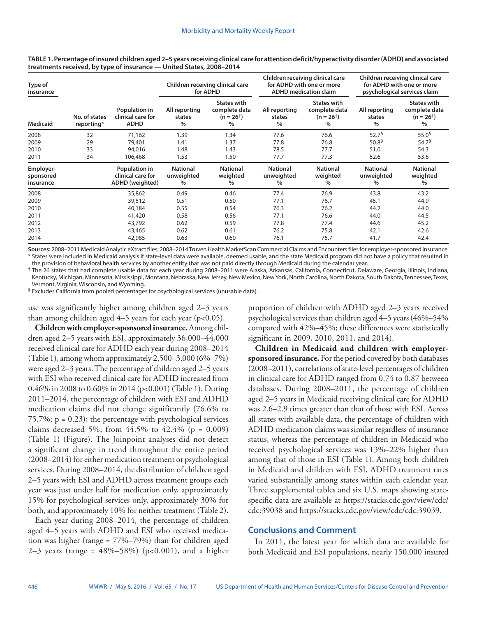**Type of insurance No. of states reporting\* Population in clinical care for ADHD Children receiving clinical care for ADHD Children receiving clinical care for ADHD with one or more ADHD medication claim Children receiving clinical care for ADHD with one or more psychological services claim Medicaid All reporting states % States with complete data**   $(n = 26<sup>†</sup>)$ **% All reporting states % States with complete data**  $(n = 26^+)$ **% All reporting states % States with complete data**   $(n = 26^+)$ **%** 2008 32 71,162 1.39 1.34 77.6 76.6 52.7§ 55.0§ 2009 29 79,401 1.41 1.37 77.8 76.8 50.8 $^5$  54.7 $^5$ 2010 33 94,016 1.48 1.43 78.5 77.7 51.0 54.3 2011 34 106,468 1.53 1.50 77.7 77.3 52.6 53.6 **Employersponsored insurance Population in clinical care for ADHD (weighted) National unweighted % National weighted % National unweighted % National weighted % National unweighted % National weighted %** 2008 35,862 0.49 0.46 77.4 76.9 43.8 43.2 2009 39,512 0.51 0.50 77.1 76.7 45.1 44.9 2010 40,184 0.55 0.54 76.3 76.2 44.2 44.0 2011 41,420 0.58 0.56 77.1 76.6 44.0 44.5 2012 43,792 0.62 0.59 77.8 77.4 44.6 45.2 2013 43,465 0.62 0.61 76.2 75.8 42.1 42.6 2014 42,985 0.63 0.60 76.1 75.7 41.7 42.4

**TABLE 1. Percentage of insured children aged 2–5 years receiving clinical care for attention deficit/hyperactivity disorder (ADHD) and associated treatments received, by type of insurance — United States, 2008–2014**

**Sources:** 2008–2011 Medicaid Analytic eXtract files; 2008–2014 Truven Health MarketScan Commercial Claims and Encounters files for employer-sponsored insurance. \* States were included in Medicaid analysis if state-level data were available, deemed usable, and the state Medicaid program did not have a policy that resulted in

the provision of behavioral health services by another entity that was not paid directly through Medicaid during the calendar year. † The 26 states that had complete usable data for each year during 2008–2011 were Alaska, Arkansas, California, Connecticut, Delaware, Georgia, Illinois, Indiana, Kentucky, Michigan, Minnesota, Mississippi, Montana, Nebraska, New Jersey, New Mexico, New York, North Carolina, North Dakota, South Dakota, Tennessee, Texas,

Vermont, Virginia, Wisconsin, and Wyoming.

§ Excludes California from pooled percentages for psychological services (unusable data).

use was significantly higher among children aged 2–3 years than among children aged  $4-5$  years for each year (p<0.05).

**Children with employer-sponsored insurance.** Among children aged 2–5 years with ESI, approximately 36,000–44,000 received clinical care for ADHD each year during 2008–2014 (Table 1), among whom approximately 2,500–3,000 (6%–7%) were aged 2–3 years. The percentage of children aged 2–5 years with ESI who received clinical care for ADHD increased from 0.46% in 2008 to 0.60% in 2014 (p<0.001) (Table 1). During 2011–2014, the percentage of children with ESI and ADHD medication claims did not change significantly (76.6% to 75.7%;  $p = 0.23$ ; the percentage with psychological services claims decreased 5%, from  $44.5%$  to  $42.4%$  (p = 0.009) (Table 1) (Figure). The Joinpoint analyses did not detect a significant change in trend throughout the entire period (2008–2014) for either medication treatment or psychological services. During 2008–2014, the distribution of children aged 2–5 years with ESI and ADHD across treatment groups each year was just under half for medication only, approximately 15% for psychological services only, approximately 30% for both, and approximately 10% for neither treatment (Table 2).

Each year during 2008–2014, the percentage of children aged 4–5 years with ADHD and ESI who received medication was higher (range = 77%–79%) than for children aged 2–3 years (range =  $48\%$ –58%) (p<0.001), and a higher proportion of children with ADHD aged 2–3 years received psychological services than children aged 4–5 years (46%–54% compared with 42%–45%; these differences were statistically significant in 2009, 2010, 2011, and 2014).

**Children in Medicaid and children with employersponsored insurance.** For the period covered by both databases (2008–2011), correlations of state-level percentages of children in clinical care for ADHD ranged from 0.74 to 0.87 between databases. During 2008–2011, the percentage of children aged 2–5 years in Medicaid receiving clinical care for ADHD was 2.6–2.9 times greater than that of those with ESI. Across all states with available data, the percentage of children with ADHD medication claims was similar regardless of insurance status, whereas the percentage of children in Medicaid who received psychological services was 13%–22% higher than among that of those in ESI (Table 1). Among both children in Medicaid and children with ESI, ADHD treatment rates varied substantially among states within each calendar year. Three supplemental tables and six U.S. maps showing statespecific data are available at [https://stacks.cdc.gov/view/cdc/](https://stacks.cdc.gov/view/cdc/cdc:39038) [cdc:39038](https://stacks.cdc.gov/view/cdc/cdc:39038) and [https://stacks.cdc.gov/view/cdc/cdc:39039.](https://stacks.cdc.gov/view/cdc/cdc:39039)

### **Conclusions and Comment**

In 2011, the latest year for which data are available for both Medicaid and ESI populations, nearly 150,000 insured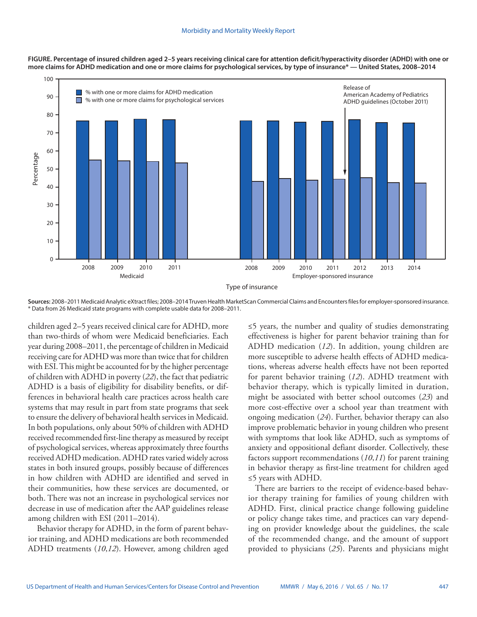



**Sources:** 2008–2011 Medicaid Analytic eXtract files; 2008–2014 Truven Health MarketScan Commercial Claims and Encounters files for employer-sponsored insurance. \* Data from 26 Medicaid state programs with complete usable data for 2008–2011.

children aged 2–5 years received clinical care for ADHD, more than two-thirds of whom were Medicaid beneficiaries. Each year during 2008–2011, the percentage of children in Medicaid receiving care for ADHD was more than twice that for children with ESI. This might be accounted for by the higher percentage of children with ADHD in poverty (*22*), the fact that pediatric ADHD is a basis of eligibility for disability benefits, or differences in behavioral health care practices across health care systems that may result in part from state programs that seek to ensure the delivery of behavioral health services in Medicaid. In both populations, only about 50% of children with ADHD received recommended first-line therapy as measured by receipt of psychological services, whereas approximately three fourths received ADHD medication. ADHD rates varied widely across states in both insured groups, possibly because of differences in how children with ADHD are identified and served in their communities, how these services are documented, or both. There was not an increase in psychological services nor decrease in use of medication after the AAP guidelines release among children with ESI (2011–2014).

 Behavior therapy for ADHD, in the form of parent behavior training, and ADHD medications are both recommended ADHD treatments (*10*,*12*). However, among children aged ≤5 years, the number and quality of studies demonstrating effectiveness is higher for parent behavior training than for ADHD medication (*12*). In addition, young children are more susceptible to adverse health effects of ADHD medications, whereas adverse health effects have not been reported for parent behavior training (*12*). ADHD treatment with behavior therapy, which is typically limited in duration, might be associated with better school outcomes (*23*) and more cost-effective over a school year than treatment with ongoing medication (*24*). Further, behavior therapy can also improve problematic behavior in young children who present with symptoms that look like ADHD, such as symptoms of anxiety and oppositional defiant disorder. Collectively, these factors support recommendations (*10*,*11*) for parent training in behavior therapy as first-line treatment for children aged ≤5 years with ADHD.

There are barriers to the receipt of evidence-based behavior therapy training for families of young children with ADHD. First, clinical practice change following guideline or policy change takes time, and practices can vary depending on provider knowledge about the guidelines, the scale of the recommended change, and the amount of support provided to physicians (*25*). Parents and physicians might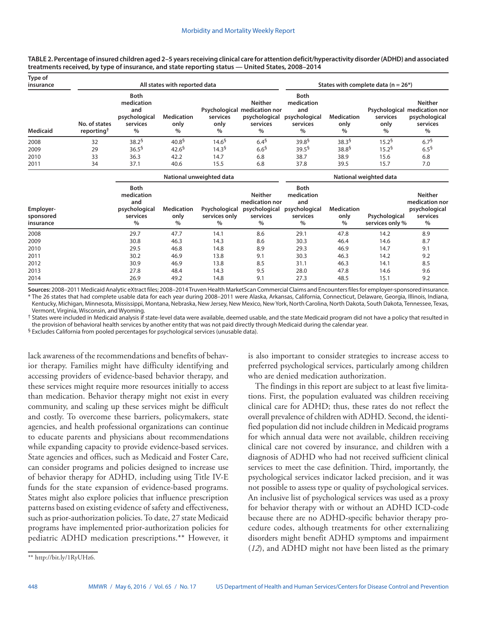**TABLE 2. Percentage of insured children aged 2–5 years receiving clinical care for attention deficit/hyperactivity disorder (ADHD) and associated treatments received, by type of insurance, and state reporting status — United States, 2008–2014**

| Type of<br>insurance<br><b>Medicaid</b> |                                         | States with complete data ( $n = 26$ *)                                        |                                   |                       |                                                                              |                                                                    |                                   |                          |                                                                                  |
|-----------------------------------------|-----------------------------------------|--------------------------------------------------------------------------------|-----------------------------------|-----------------------|------------------------------------------------------------------------------|--------------------------------------------------------------------|-----------------------------------|--------------------------|----------------------------------------------------------------------------------|
|                                         | No. of states<br>reporting <sup>1</sup> | <b>Both</b><br>medication<br>and<br>psychological<br>services<br>$\frac{0}{0}$ | <b>Medication</b><br>only<br>$\%$ | services<br>only<br>% | Neither<br>Psychological medication nor<br>psychological<br>services<br>$\%$ | <b>Both</b><br>medication<br>and<br>psychological<br>services<br>% | <b>Medication</b><br>only<br>$\%$ | services<br>only<br>$\%$ | <b>Neither</b><br>Psychological medication nor<br>psychological<br>services<br>% |
| 2008                                    | 32                                      | $38.2^{5}$                                                                     | 40.8 <sup>5</sup>                 | 14.6 <sup>5</sup>     | $6.4^{5}$                                                                    | 39.8 <sup>5</sup>                                                  | 38.3 <sup>6</sup>                 | 15.2 <sup>6</sup>        | 6.7 <sup>5</sup>                                                                 |
| 2009                                    | 29                                      | 36.5 <sup>5</sup>                                                              | 42.6 <sup>5</sup>                 | 14.3 <sup>5</sup>     | 6.6 <sup>5</sup>                                                             | 39.5 <sup>5</sup>                                                  | 38.8 <sup>5</sup>                 | $15.2^5$                 | 6.5 <sup>9</sup>                                                                 |
| 2010                                    | 33                                      | 36.3                                                                           | 42.2                              | 14.7                  | 6.8                                                                          | 38.7                                                               | 38.9                              | 15.6                     | 6.8                                                                              |
| 2011                                    | 34                                      | 37.1                                                                           | 40.6                              | 15.5                  | 6.8                                                                          | 37.8                                                               | 39.5                              | 15.7                     | 7.0                                                                              |

|                                     |                                                                         | National weighted data            |                                        |                                                                       |                                                                       |                                |                                  |                                                                    |
|-------------------------------------|-------------------------------------------------------------------------|-----------------------------------|----------------------------------------|-----------------------------------------------------------------------|-----------------------------------------------------------------------|--------------------------------|----------------------------------|--------------------------------------------------------------------|
| Employer-<br>sponsored<br>insurance | Both<br>medication<br>and<br>psychological<br>services<br>$\frac{0}{0}$ | <b>Medication</b><br>only<br>$\%$ | Psychological<br>services only<br>$\%$ | <b>Neither</b><br>medication nor<br>psychological<br>services<br>$\%$ | <b>Both</b><br>medication<br>and<br>psychological<br>services<br>$\%$ | <b>Medication</b><br>only<br>% | Psychological<br>services only % | <b>Neither</b><br>medication nor<br>psychological<br>services<br>% |
| 2008                                | 29.7                                                                    | 47.7                              | 14.1                                   | 8.6                                                                   | 29.1                                                                  | 47.8                           | 14.2                             | 8.9                                                                |
| 2009                                | 30.8                                                                    | 46.3                              | 14.3                                   | 8.6                                                                   | 30.3                                                                  | 46.4                           | 14.6                             | 8.7                                                                |
| 2010                                | 29.5                                                                    | 46.8                              | 14.8                                   | 8.9                                                                   | 29.3                                                                  | 46.9                           | 14.7                             | 9.1                                                                |
| 2011                                | 30.2                                                                    | 46.9                              | 13.8                                   | 9.1                                                                   | 30.3                                                                  | 46.3                           | 14.2                             | 9.2                                                                |
| 2012                                | 30.9                                                                    | 46.9                              | 13.8                                   | 8.5                                                                   | 31.1                                                                  | 46.3                           | 14.1                             | 8.5                                                                |
| 2013                                | 27.8                                                                    | 48.4                              | 14.3                                   | 9.5                                                                   | 28.0                                                                  | 47.8                           | 14.6                             | 9.6                                                                |
| 2014                                | 26.9                                                                    | 49.2                              | 14.8                                   | 9.1                                                                   | 27.3                                                                  | 48.5                           | 15.1                             | 9.2                                                                |

**Sources:** 2008–2011 Medicaid Analytic eXtract files; 2008–2014 Truven Health MarketScan Commercial Claims and Encounters files for employer-sponsored insurance. \* The 26 states that had complete usable data for each year during 2008–2011 were Alaska, Arkansas, California, Connecticut, Delaware, Georgia, Illinois, Indiana, Kentucky, Michigan, Minnesota, Mississippi, Montana, Nebraska, New Jersey, New Mexico, New York, North Carolina, North Dakota, South Dakota, Tennessee, Texas, Vermont, Virginia, Wisconsin, and Wyoming.

† States were included in Medicaid analysis if state-level data were available, deemed usable, and the state Medicaid program did not have a policy that resulted in the provision of behavioral health services by another entity that was not paid directly through Medicaid during the calendar year.

§ Excludes California from pooled percentages for psychological services (unusable data).

lack awareness of the recommendations and benefits of behavior therapy. Families might have difficulty identifying and accessing providers of evidence-based behavior therapy, and these services might require more resources initially to access than medication. Behavior therapy might not exist in every community, and scaling up these services might be difficult and costly. To overcome these barriers, policymakers, state agencies, and health professional organizations can continue to educate parents and physicians about recommendations while expanding capacity to provide evidence-based services. State agencies and offices, such as Medicaid and Foster Care, can consider programs and policies designed to increase use of behavior therapy for ADHD, including using Title IV-E funds for the state expansion of evidence-based programs. States might also explore policies that influence prescription patterns based on existing evidence of safety and effectiveness, such as prior-authorization policies. To date, 27 state Medicaid programs have implemented prior-authorization policies for pediatric ADHD medication prescriptions.\*\* However, it is also important to consider strategies to increase access to preferred psychological services, particularly among children who are denied medication authorization.

The findings in this report are subject to at least five limitations. First, the population evaluated was children receiving clinical care for ADHD; thus, these rates do not reflect the overall prevalence of children with ADHD. Second, the identified population did not include children in Medicaid programs for which annual data were not available, children receiving clinical care not covered by insurance, and children with a diagnosis of ADHD who had not received sufficient clinical services to meet the case definition. Third, importantly, the psychological services indicator lacked precision, and it was not possible to assess type or quality of psychological services. An inclusive list of psychological services was used as a proxy for behavior therapy with or without an ADHD ICD-code because there are no ADHD-specific behavior therapy procedure codes, although treatments for other externalizing disorders might benefit ADHD symptoms and impairment (*12*), and ADHD might not have been listed as the primary

<sup>\*\*</sup> <http://bit.ly/1RyUHz6>.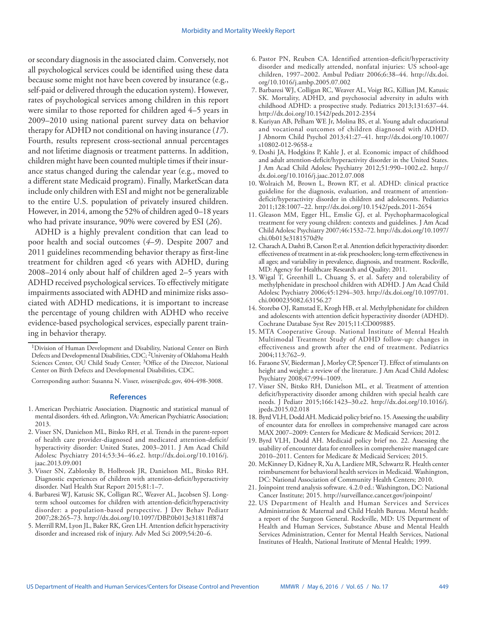or secondary diagnosis in the associated claim. Conversely, not all psychological services could be identified using these data because some might not have been covered by insurance (e.g., self-paid or delivered through the education system). However, rates of psychological services among children in this report were similar to those reported for children aged 4–5 years in 2009–2010 using national parent survey data on behavior therapy for ADHD not conditional on having insurance (*17*). Fourth, results represent cross-sectional annual percentages and not lifetime diagnosis or treatment patterns. In addition, children might have been counted multiple times if their insurance status changed during the calendar year (e.g., moved to a different state Medicaid program). Finally, MarketScan data include only children with ESI and might not be generalizable to the entire U.S. population of privately insured children. However, in 2014, among the 52% of children aged 0–18 years who had private insurance, 90% were covered by ESI (*26*).

ADHD is a highly prevalent condition that can lead to poor health and social outcomes (*4*–*9*). Despite 2007 and 2011 guidelines recommending behavior therapy as first-line treatment for children aged <6 years with ADHD, during 2008–2014 only about half of children aged 2–5 years with ADHD received psychological services. To effectively mitigate impairments associated with ADHD and minimize risks associated with ADHD medications, it is important to increase the percentage of young children with ADHD who receive evidence-based psychological services, especially parent training in behavior therapy.

Corresponding author: Susanna N. Visser, [svisser@cdc.gov,](mailto:svisser@cdc.gov) 404-498-3008.

#### **References**

- 1. American Psychiatric Association. Diagnostic and statistical manual of mental disorders. 4th ed. Arlington, VA: American Psychiatric Association; 2013.
- 2. Visser SN, Danielson ML, Bitsko RH, et al. Trends in the parent-report of health care provider-diagnosed and medicated attention-deficit/ hyperactivity disorder: United States, 2003–2011. J Am Acad Child Adolesc Psychiatry 2014;53:34–46.e2. [http://dx.doi.org/10.1016/j.](http://dx.doi.org/10.1016/j.jaac.2013.09.001) [jaac.2013.09.001](http://dx.doi.org/10.1016/j.jaac.2013.09.001)
- 3. Visser SN, Zablotsky B, Holbrook JR, Danielson ML, Bitsko RH. Diagnostic experiences of children with attention-deficit/hyperactivity disorder. Natl Health Stat Report 2015;81:1–7.
- 4. Barbaresi WJ, Katusic SK, Colligan RC, Weaver AL, Jacobsen SJ. Longterm school outcomes for children with attention-deficit/hyperactivity disorder: a population-based perspective. J Dev Behav Pediatr 2007;28:265–73. <http://dx.doi.org/10.1097/DBP.0b013e31811ff87d>
- 5. Merrill RM, Lyon JL, Baker RK, Gren LH. Attention deficit hyperactivity disorder and increased risk of injury. Adv Med Sci 2009;54:20–6.
- 6. Pastor PN, Reuben CA. Identified attention-deficit/hyperactivity disorder and medically attended, nonfatal injuries: US school-age children, 1997–2002. Ambul Pediatr 2006;6:38–44. [http://dx.doi.](http://dx.doi.org/10.1016/j.ambp.2005.07.002) [org/10.1016/j.ambp.2005.07.002](http://dx.doi.org/10.1016/j.ambp.2005.07.002)
- 7. Barbaresi WJ, Colligan RC, Weaver AL, Voigt RG, Killian JM, Katusic SK. Mortality, ADHD, and psychosocial adversity in adults with childhood ADHD: a prospective study. Pediatrics 2013;131:637–44. <http://dx.doi.org/10.1542/peds.2012-2354>
- 8. Kuriyan AB, Pelham WE Jr, Molina BS, et al. Young adult educational and vocational outcomes of children diagnosed with ADHD. J Abnorm Child Psychol 2013;41:27–41. [http://dx.doi.org/10.1007/](http://dx.doi.org/10.1007/s10802-012-9658-z) [s10802-012-9658-z](http://dx.doi.org/10.1007/s10802-012-9658-z)
- 9. Doshi JA, Hodgkins P, Kahle J, et al. Economic impact of childhood and adult attention-deficit/hyperactivity disorder in the United States. J Am Acad Child Adolesc Psychiatry 2012;51:990–1002.e2. [http://](http://dx.doi.org/10.1016/j.jaac.2012.07.008) [dx.doi.org/10.1016/j.jaac.2012.07.008](http://dx.doi.org/10.1016/j.jaac.2012.07.008)
- 10. Wolraich M, Brown L, Brown RT, et al. ADHD: clinical practice guideline for the diagnosis, evaluation, and treatment of attentiondeficit/hyperactivity disorder in children and adolescents. Pediatrics 2011;128:1007–22.<http://dx.doi.org/10.1542/peds.2011-2654>
- 11. Gleason MM, Egger HL, Emslie GJ, et al. Psychopharmacological treatment for very young children: contexts and guidelines. J Am Acad Child Adolesc Psychiatry 2007;46:1532–72. [http://dx.doi.org/10.1097/](http://dx.doi.org/10.1097/chi.0b013e3181570d9e) [chi.0b013e3181570d9e](http://dx.doi.org/10.1097/chi.0b013e3181570d9e)
- 12. Charach A, Dashti B, Carson P, et al. Attention deficit hyperactivity disorder: effectiveness of treatment in at-risk preschoolers; long-term effectiveness in all ages; and variability in prevalence, diagnosis, and treatment. Rockville, MD: Agency for Healthcare Research and Quality; 2011.
- 13. Wigal T, Greenhill L, Chuang S, et al. Safety and tolerability of methylphenidate in preschool children with ADHD. J Am Acad Child Adolesc Psychiatry 2006;45:1294–303. [http://dx.doi.org/10.1097/01.](http://dx.doi.org/10.1097/01.chi.0000235082.63156.27) [chi.0000235082.63156.27](http://dx.doi.org/10.1097/01.chi.0000235082.63156.27)
- 14. Storebø OJ, Ramstad E, Krogh HB, et al. Methylphenidate for children and adolescents with attention deficit hyperactivity disorder (ADHD). Cochrane Database Syst Rev 2015;11:CD009885.
- 15. MTA Cooperative Group. National Institute of Mental Health Multimodal Treatment Study of ADHD follow-up: changes in effectiveness and growth after the end of treatment. Pediatrics 2004;113:762–9.
- 16. Faraone SV, Biederman J, Morley CP, Spencer TJ. Effect of stimulants on height and weight: a review of the literature. J Am Acad Child Adolesc Psychiatry 2008;47:994–1009.
- 17. Visser SN, Bitsko RH, Danielson ML, et al. Treatment of attention deficit/hyperactivity disorder among children with special health care needs. J Pediatr 2015;166:1423–30.e2. [http://dx.doi.org/10.1016/j.](http://dx.doi.org/10.1016/j.jpeds.2015.02.018) [jpeds.2015.02.018](http://dx.doi.org/10.1016/j.jpeds.2015.02.018)
- 18. Byrd VLH, Dodd AH. Medicaid policy brief no. 15. Assessing the usability of encounter data for enrollees in comprehensive managed care across MAX 2007–2009: Centers for Medicare & Medicaid Services; 2012.
- 19. Byrd VLH, Dodd AH. Medicaid policy brief no. 22. Assessing the usability of encounter data for enrollees in comprehensive managed care 2010–2011. Centers for Medicare & Medicaid Services; 2015.
- 20. McKinney D, Kidney R, Xu A, Lardiere MR, Schwartz R. Health center reimbursement for behavioral health services in Medicaid. Washington, DC: National Association of Community Health Centers; 2010.
- 21. Joinpoint trend analysis software. 4.2.0 ed.: Washington, DC: National Cancer Institute; 2015.<http://surveillance.cancer.gov/joinpoint/>
- 22. US Department of Health and Human Services and Services Administration & Maternal and Child Health Bureau. Mental health: a report of the Surgeon General. Rockville, MD: US Department of Health and Human Services, Substance Abuse and Mental Health Services Administration, Center for Mental Health Services, National Institutes of Health, National Institute of Mental Health; 1999.

<sup>&</sup>lt;sup>1</sup>Division of Human Development and Disability, National Center on Birth Defects and Developmental Disabilities, CDC; 2University of Oklahoma Health Sciences Center, OU Child Study Center; <sup>3</sup>Office of the Director, National Center on Birth Defects and Developmental Disabilities, CDC.